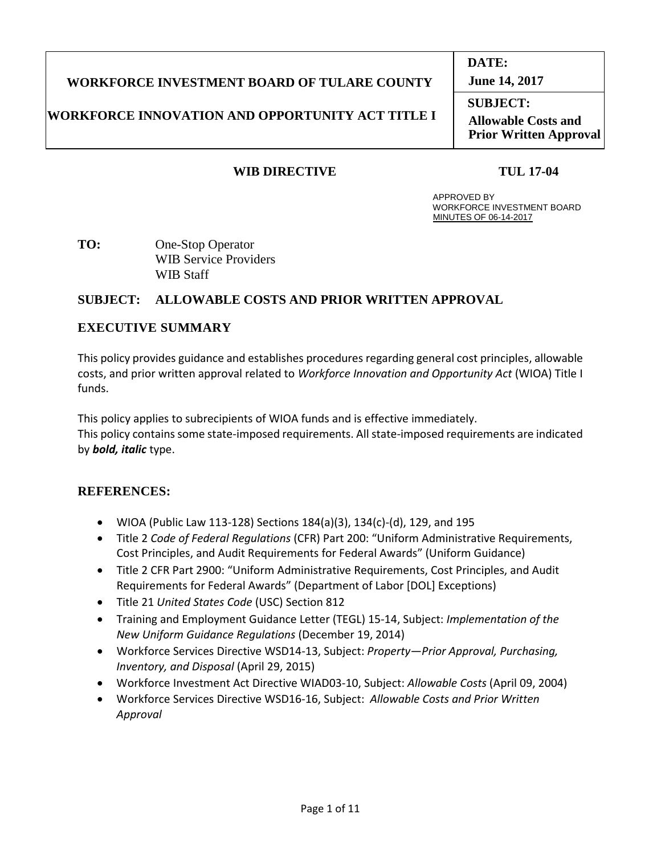## **WORKFORCE INVESTMENT BOARD OF TULARE COUNTY**

### **WORKFORCE INNOVATION AND OPPORTUNITY ACT TITLE I**

### **WIB DIRECTIVE TUL 17-04**

#### APPROVED BY WORKFORCE INVESTMENT BOARD MINUTES OF 06-14-2017

**TO:** One-Stop Operator WIB Service Providers WIB Staff

### **SUBJECT: ALLOWABLE COSTS AND PRIOR WRITTEN APPROVAL**

### **EXECUTIVE SUMMARY**

This policy provides guidance and establishes procedures regarding general cost principles, allowable costs, and prior written approval related to *Workforce Innovation and Opportunity Act* (WIOA) Title I funds.

This policy applies to subrecipients of WIOA funds and is effective immediately. This policy contains some state-imposed requirements. All state-imposed requirements are indicated by *bold, italic* type.

### **REFERENCES:**

- WIOA (Public Law 113-128) Sections 184(a)(3), 134(c)-(d), 129, and 195
- Title 2 *Code of Federal Regulations* (CFR) Part 200: "Uniform Administrative Requirements, Cost Principles, and Audit Requirements for Federal Awards" (Uniform Guidance)
- Title 2 CFR Part 2900: "Uniform Administrative Requirements, Cost Principles, and Audit Requirements for Federal Awards" (Department of Labor [DOL] Exceptions)
- Title 21 *United States Code* (USC) Section 812
- Training and Employment Guidance Letter (TEGL) 15-14, Subject: *Implementation of the New Uniform Guidance Regulations* (December 19, 2014)
- Workforce Services Directive WSD14-13, Subject: *Property—Prior Approval, Purchasing, Inventory, and Disposal* (April 29, 2015)
- Workforce Investment Act Directive WIAD03-10, Subject: *Allowable Costs* (April 09, 2004)
- Workforce Services Directive WSD16-16, Subject: *Allowable Costs and Prior Written Approval*

**June 14, 2017**

**SUBJECT: Allowable Costs and Prior Written Approval**

# **DATE:**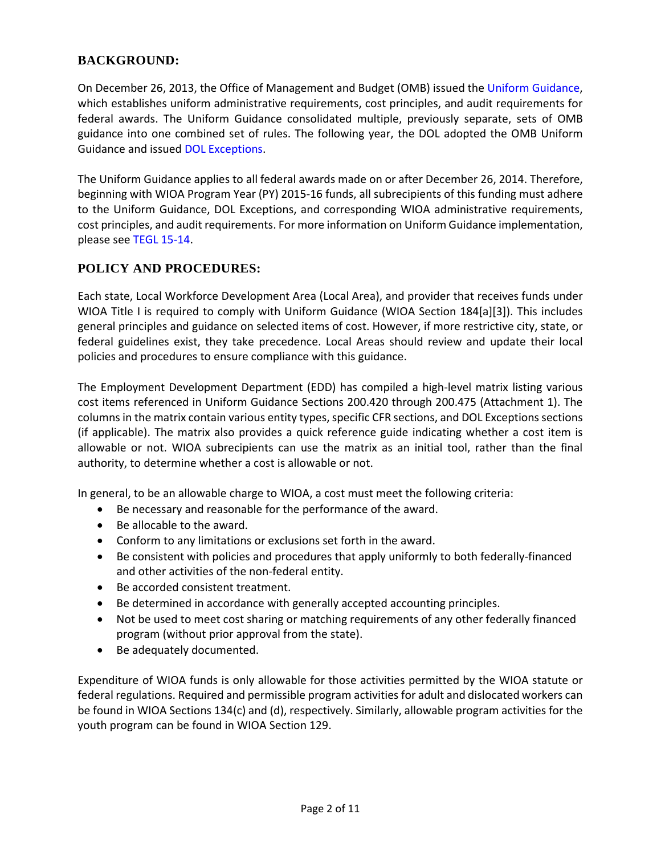### **BACKGROUND:**

On December 26, 2013, the Office of Management and Budget (OMB) issued the Uniform Guidance, which establishes uniform administrative requirements, cost principles, and audit requirements for federal awards. The Uniform Guidance consolidated multiple, previously separate, sets of OMB guidance into one combined set of rules. The following year, the DOL adopted the OMB Uniform Guidance and issued DOL Exceptions.

The Uniform Guidance applies to all federal awards made on or after December 26, 2014. Therefore, beginning with WIOA Program Year (PY) 2015-16 funds, all subrecipients of this funding must adhere to the Uniform Guidance, DOL Exceptions, and corresponding WIOA administrative requirements, cost principles, and audit requirements. For more information on Uniform Guidance implementation, please see TEGL 15-14.

### **POLICY AND PROCEDURES:**

Each state, Local Workforce Development Area (Local Area), and provider that receives funds under WIOA Title I is required to comply with Uniform Guidance (WIOA Section 184[a][3]). This includes general principles and guidance on selected items of cost. However, if more restrictive city, state, or federal guidelines exist, they take precedence. Local Areas should review and update their local policies and procedures to ensure compliance with this guidance.

The Employment Development Department (EDD) has compiled a high-level matrix listing various cost items referenced in Uniform Guidance Sections 200.420 through 200.475 (Attachment 1). The columns in the matrix contain various entity types, specific CFR sections, and DOL Exceptions sections (if applicable). The matrix also provides a quick reference guide indicating whether a cost item is allowable or not. WIOA subrecipients can use the matrix as an initial tool, rather than the final authority, to determine whether a cost is allowable or not.

In general, to be an allowable charge to WIOA, a cost must meet the following criteria:

- Be necessary and reasonable for the performance of the award.
- Be allocable to the award.
- Conform to any limitations or exclusions set forth in the award.
- Be consistent with policies and procedures that apply uniformly to both federally-financed and other activities of the non-federal entity.
- Be accorded consistent treatment.
- Be determined in accordance with generally accepted accounting principles.
- Not be used to meet cost sharing or matching requirements of any other federally financed program (without prior approval from the state).
- Be adequately documented.

Expenditure of WIOA funds is only allowable for those activities permitted by the WIOA statute or federal regulations. Required and permissible program activities for adult and dislocated workers can be found in WIOA Sections 134(c) and (d), respectively. Similarly, allowable program activities for the youth program can be found in WIOA Section 129.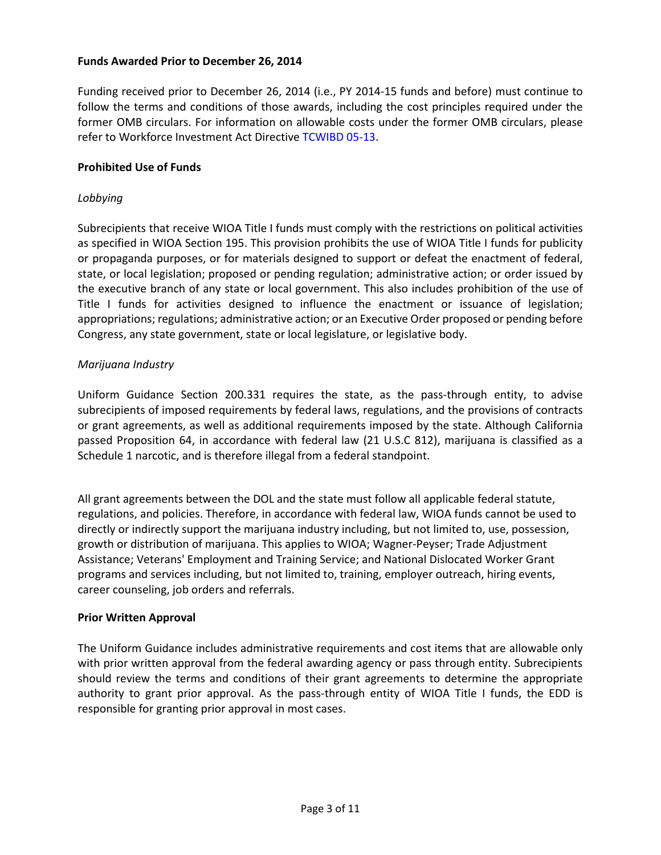#### **Funds Awarded Prior to December 26, 2014**

Funding received prior to December 26, 2014 (i.e., PY 2014-15 funds and before) must continue to follow the terms and conditions of those awards, including the cost principles required under the former OMB circulars. For information on allowable costs under the former OMB circulars, please refer to Workforce Investment Act Directive TCWIBD 05-13.

#### **Prohibited Use of Funds**

#### *Lobbying*

Subrecipients that receive WIOA Title I funds must comply with the restrictions on political activities as specified in WIOA Section 195. This provision prohibits the use of WIOA Title I funds for publicity or propaganda purposes, or for materials designed to support or defeat the enactment of federal, state, or local legislation; proposed or pending regulation; administrative action; or order issued by the executive branch of any state or local government. This also includes prohibition of the use of Title I funds for activities designed to influence the enactment or issuance of legislation; appropriations; regulations; administrative action; or an Executive Order proposed or pending before Congress, any state government, state or local legislature, or legislative body.

#### *Marijuana Industry*

Uniform Guidance Section 200.331 requires the state, as the pass-through entity, to advise subrecipients of imposed requirements by federal laws, regulations, and the provisions of contracts or grant agreements, as well as additional requirements imposed by the state. Although California passed Proposition 64, in accordance with federal law (21 U.S.C 812), marijuana is classified as a Schedule 1 narcotic, and is therefore illegal from a federal standpoint.

All grant agreements between the DOL and the state must follow all applicable federal statute, regulations, and policies. Therefore, in accordance with federal law, WIOA funds cannot be used to directly or indirectly support the marijuana industry including, but not limited to, use, possession, growth or distribution of marijuana. This applies to WIOA; Wagner-Peyser; Trade Adjustment Assistance; Veterans' Employment and Training Service; and National Dislocated Worker Grant programs and services including, but not limited to, training, employer outreach, hiring events, career counseling, job orders and referrals.

#### **Prior Written Approval**

The Uniform Guidance includes administrative requirements and cost items that are allowable only with prior written approval from the federal awarding agency or pass through entity. Subrecipients should review the terms and conditions of their grant agreements to determine the appropriate authority to grant prior approval. As the pass-through entity of WIOA Title I funds, the EDD is responsible for granting prior approval in most cases.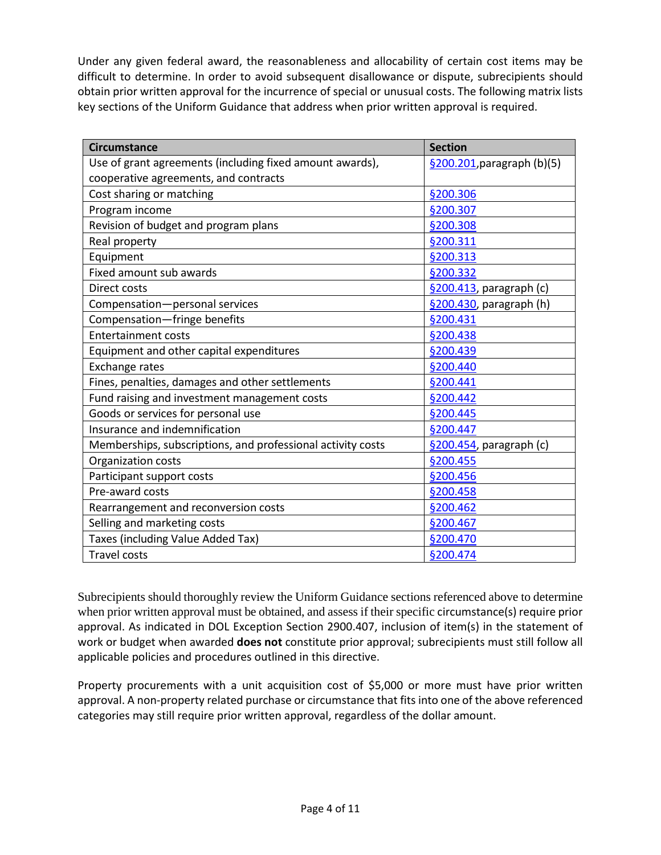Under any given federal award, the reasonableness and allocability of certain cost items may be difficult to determine. In order to avoid subsequent disallowance or dispute, subrecipients should obtain prior written approval for the incurrence of special or unusual costs. The following matrix lists key sections of the Uniform Guidance that address when prior written approval is required.

| <b>Circumstance</b>                                         | <b>Section</b>             |
|-------------------------------------------------------------|----------------------------|
| Use of grant agreements (including fixed amount awards),    | §200.201, paragraph (b)(5) |
| cooperative agreements, and contracts                       |                            |
| Cost sharing or matching                                    | §200.306                   |
| Program income                                              | §200.307                   |
| Revision of budget and program plans                        | §200.308                   |
| Real property                                               | §200.311                   |
| Equipment                                                   | <b>§200.313</b>            |
| Fixed amount sub awards                                     | §200.332                   |
| Direct costs                                                | §200.413, paragraph (c)    |
| Compensation-personal services                              | §200.430, paragraph (h)    |
| Compensation-fringe benefits                                | §200.431                   |
| <b>Entertainment costs</b>                                  | §200.438                   |
| Equipment and other capital expenditures                    | §200.439                   |
| Exchange rates                                              | §200.440                   |
| Fines, penalties, damages and other settlements             | §200.441                   |
| Fund raising and investment management costs                | §200.442                   |
| Goods or services for personal use                          | §200.445                   |
| Insurance and indemnification                               | §200.447                   |
| Memberships, subscriptions, and professional activity costs | §200.454, paragraph (c)    |
| Organization costs                                          | §200.455                   |
| Participant support costs                                   | §200.456                   |
| Pre-award costs                                             | <b>§200.458</b>            |
| Rearrangement and reconversion costs                        | §200.462                   |
| Selling and marketing costs                                 | §200.467                   |
| Taxes (including Value Added Tax)                           | §200.470                   |
| <b>Travel costs</b>                                         | §200.474                   |

Subrecipients should thoroughly review the Uniform Guidance sections referenced above to determine when prior written approval must be obtained, and assess if their specific circumstance(s) require prior approval. As indicated in DOL Exception Section 2900.407, inclusion of item(s) in the statement of work or budget when awarded **does not** constitute prior approval; subrecipients must still follow all applicable policies and procedures outlined in this directive.

Property procurements with a unit acquisition cost of \$5,000 or more must have prior written approval. A non-property related purchase or circumstance that fits into one of the above referenced categories may still require prior written approval, regardless of the dollar amount.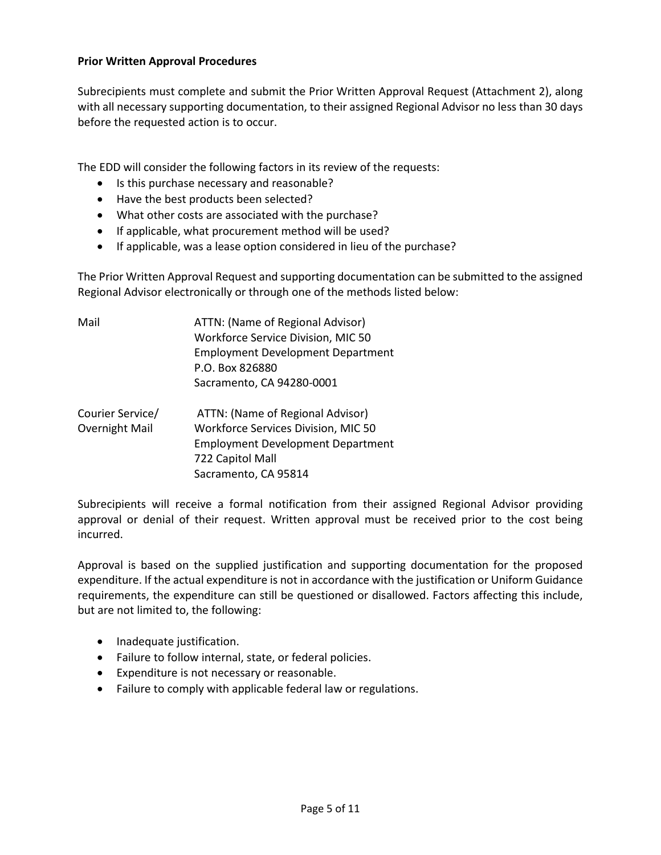#### **Prior Written Approval Procedures**

Subrecipients must complete and submit the Prior Written Approval Request (Attachment 2), along with all necessary supporting documentation, to their assigned Regional Advisor no less than 30 days before the requested action is to occur.

The EDD will consider the following factors in its review of the requests:

- Is this purchase necessary and reasonable?
- Have the best products been selected?
- What other costs are associated with the purchase?
- If applicable, what procurement method will be used?
- If applicable, was a lease option considered in lieu of the purchase?

The Prior Written Approval Request and supporting documentation can be submitted to the assigned Regional Advisor electronically or through one of the methods listed below:

| Mail                               | ATTN: (Name of Regional Advisor)<br>Workforce Service Division, MIC 50<br><b>Employment Development Department</b><br>P.O. Box 826880<br>Sacramento, CA 94280-0001 |  |  |
|------------------------------------|--------------------------------------------------------------------------------------------------------------------------------------------------------------------|--|--|
| Courier Service/<br>Overnight Mail | ATTN: (Name of Regional Advisor)<br>Workforce Services Division, MIC 50<br><b>Employment Development Department</b><br>722 Capitol Mall<br>Sacramento, CA 95814    |  |  |

Subrecipients will receive a formal notification from their assigned Regional Advisor providing approval or denial of their request. Written approval must be received prior to the cost being incurred.

Approval is based on the supplied justification and supporting documentation for the proposed expenditure. If the actual expenditure is not in accordance with the justification or Uniform Guidance requirements, the expenditure can still be questioned or disallowed. Factors affecting this include, but are not limited to, the following:

- Inadequate justification.
- Failure to follow internal, state, or federal policies.
- Expenditure is not necessary or reasonable.
- Failure to comply with applicable federal law or regulations.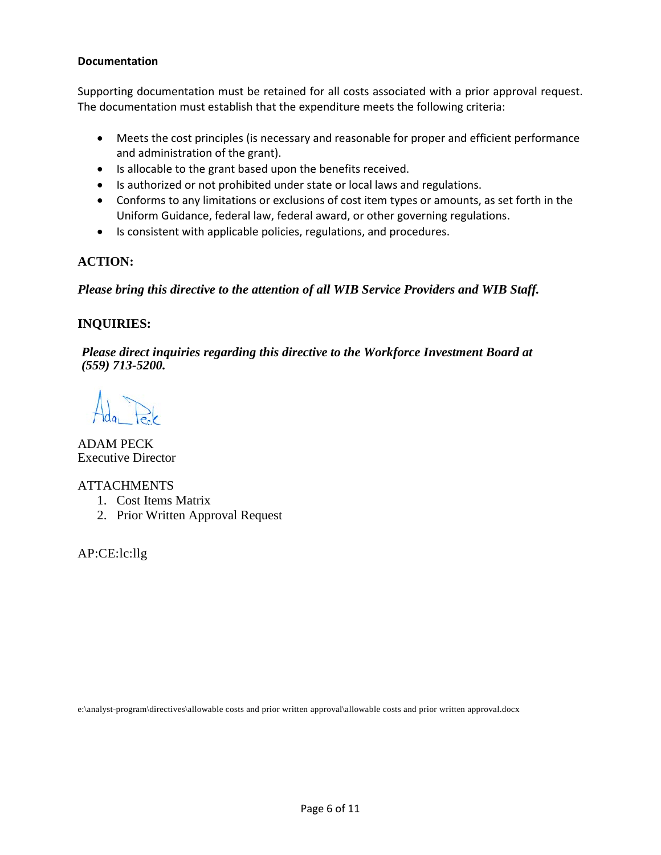#### **Documentation**

Supporting documentation must be retained for all costs associated with a prior approval request. The documentation must establish that the expenditure meets the following criteria:

- Meets the cost principles (is necessary and reasonable for proper and efficient performance and administration of the grant).
- Is allocable to the grant based upon the benefits received.
- Is authorized or not prohibited under state or local laws and regulations.
- Conforms to any limitations or exclusions of cost item types or amounts, as set forth in the Uniform Guidance, federal law, federal award, or other governing regulations.
- Is consistent with applicable policies, regulations, and procedures.

### **ACTION:**

*Please bring this directive to the attention of all WIB Service Providers and WIB Staff.*

### **INQUIRIES:**

*Please direct inquiries regarding this directive to the Workforce Investment Board at (559) 713-5200.*

ADAM PECK Executive Director

### ATTACHMENTS

- 1. Cost Items Matrix
- 2. Prior Written Approval Request

AP:CE:lc:llg

e:\analyst-program\directives\allowable costs and prior written approval\allowable costs and prior written approval.docx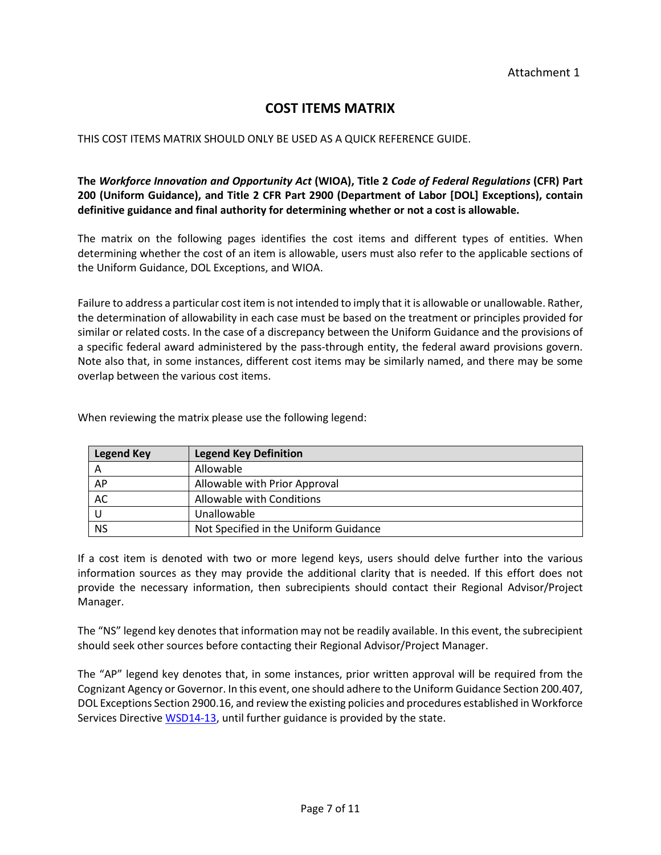## **COST ITEMS MATRIX**

#### THIS COST ITEMS MATRIX SHOULD ONLY BE USED AS A QUICK REFERENCE GUIDE.

**The** *Workforce Innovation and Opportunity Act* **(WIOA), Title 2** *Code of Federal Regulations* **(CFR) Part 200 (Uniform Guidance), and Title 2 CFR Part 2900 (Department of Labor [DOL] Exceptions), contain definitive guidance and final authority for determining whether or not a cost is allowable.** 

The matrix on the following pages identifies the cost items and different types of entities. When determining whether the cost of an item is allowable, users must also refer to the applicable sections of the Uniform Guidance, DOL Exceptions, and WIOA.

Failure to address a particular cost item is not intended to imply that it is allowable or unallowable. Rather, the determination of allowability in each case must be based on the treatment or principles provided for similar or related costs. In the case of a discrepancy between the Uniform Guidance and the provisions of a specific federal award administered by the pass-through entity, the federal award provisions govern. Note also that, in some instances, different cost items may be similarly named, and there may be some overlap between the various cost items.

| <b>Legend Key</b> | <b>Legend Key Definition</b>          |
|-------------------|---------------------------------------|
| A                 | Allowable                             |
| AP                | Allowable with Prior Approval         |
| AC                | Allowable with Conditions             |
|                   | Unallowable                           |
| <b>NS</b>         | Not Specified in the Uniform Guidance |

When reviewing the matrix please use the following legend:

If a cost item is denoted with two or more legend keys, users should delve further into the various information sources as they may provide the additional clarity that is needed. If this effort does not provide the necessary information, then subrecipients should contact their Regional Advisor/Project Manager.

The "NS" legend key denotes that information may not be readily available. In this event, the subrecipient should seek other sources before contacting their Regional Advisor/Project Manager.

The "AP" legend key denotes that, in some instances, prior written approval will be required from the Cognizant Agency or Governor. In this event, one should adhere to the Uniform Guidance Section 200.407, DOL Exceptions Section 2900.16, and review the existing policies and procedures established i[n Workforce](http://www.edd.ca.gov/Jobs_and_Training/pubs/wsd14-13.pdf)  [Services Directive WSD14-13,](http://www.edd.ca.gov/Jobs_and_Training/pubs/wsd14-13.pdf) until further guidance is provided by the state.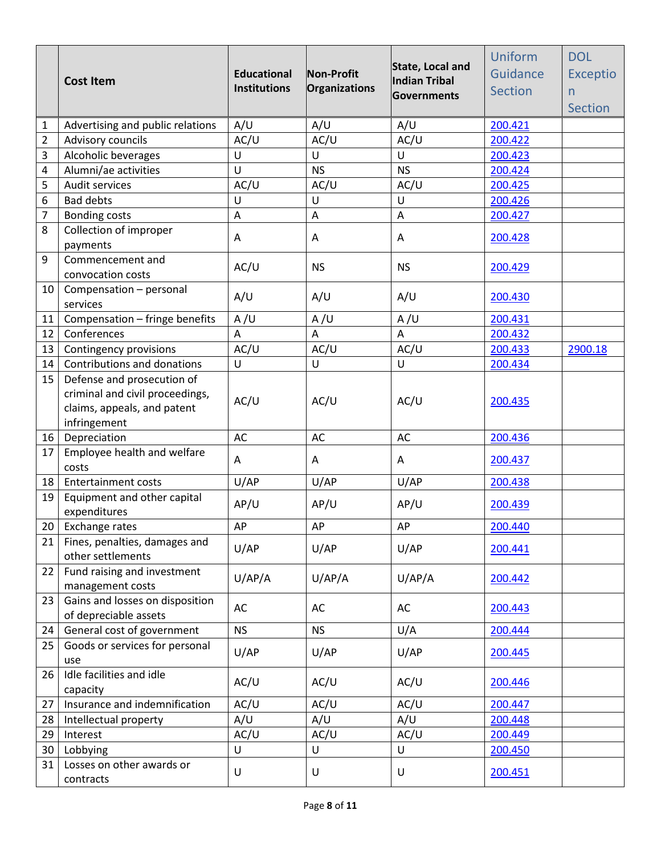|                | <b>Cost Item</b>                                                                                             | <b>Educational</b><br><b>Institutions</b> | Non-Profit<br>Organizations | State, Local and<br>Indian Tribal<br>Governments | Uniform<br>Guidance<br><b>Section</b> | <b>DOL</b><br><b>Exceptio</b><br>n<br><b>Section</b> |
|----------------|--------------------------------------------------------------------------------------------------------------|-------------------------------------------|-----------------------------|--------------------------------------------------|---------------------------------------|------------------------------------------------------|
| 1              | Advertising and public relations                                                                             | A/U                                       | A/U                         | A/U                                              | 200.421                               |                                                      |
| $\overline{2}$ | Advisory councils                                                                                            | AC/U                                      | AC/U                        | AC/U                                             | 200.422                               |                                                      |
| 3              | Alcoholic beverages                                                                                          | U                                         | U                           | U                                                | 200.423                               |                                                      |
| 4              | Alumni/ae activities                                                                                         | U                                         | <b>NS</b>                   | <b>NS</b>                                        | 200.424                               |                                                      |
| 5              | Audit services                                                                                               | AC/U                                      | AC/U                        | AC/U                                             | 200.425                               |                                                      |
| 6              | <b>Bad debts</b>                                                                                             | U                                         | U                           | U                                                | 200.426                               |                                                      |
| $\overline{7}$ | <b>Bonding costs</b>                                                                                         | A                                         | A                           | A                                                | 200.427                               |                                                      |
| 8              | Collection of improper<br>payments                                                                           | Α                                         | A                           | Α                                                | 200.428                               |                                                      |
| 9              | Commencement and<br>convocation costs                                                                        | AC/U                                      | <b>NS</b>                   | <b>NS</b>                                        | 200.429                               |                                                      |
| 10             | Compensation - personal<br>services                                                                          | A/U                                       | A/U                         | A/U                                              | 200.430                               |                                                      |
| 11             | Compensation - fringe benefits                                                                               | A/U                                       | A/U                         | A/U                                              | 200.431                               |                                                      |
| 12             | Conferences                                                                                                  | A                                         | $\boldsymbol{\mathsf{A}}$   | A                                                | 200.432                               |                                                      |
| 13             | Contingency provisions                                                                                       | AC/U                                      | AC/U                        | AC/U                                             | 200.433                               | 2900.18                                              |
| 14             | Contributions and donations                                                                                  | U                                         | U                           | U                                                | 200.434                               |                                                      |
| 15             | Defense and prosecution of<br>criminal and civil proceedings,<br>claims, appeals, and patent<br>infringement | AC/U                                      | AC/U                        | AC/U                                             | 200.435                               |                                                      |
| 16             | Depreciation                                                                                                 | AC                                        | AC                          | AC                                               | 200.436                               |                                                      |
| 17             | Employee health and welfare<br>costs                                                                         | Α                                         | A                           | Α                                                | 200.437                               |                                                      |
| 18             | <b>Entertainment costs</b>                                                                                   | U/AP                                      | U/AP                        | U/AP                                             | 200.438                               |                                                      |
| 19             | Equipment and other capital<br>expenditures                                                                  | AP/U                                      | AP/U                        | AP/U                                             | 200.439                               |                                                      |
|                | 20 Exchange rates                                                                                            | AP                                        | AP                          | AP                                               | 200.440                               |                                                      |
| 21             | Fines, penalties, damages and<br>other settlements                                                           | U/AP                                      | U/AP                        | U/AP                                             | 200.441                               |                                                      |
| 22             | Fund raising and investment<br>management costs                                                              | U/AP/A                                    | U/AP/A                      | U/AP/A                                           | 200.442                               |                                                      |
| 23             | Gains and losses on disposition<br>of depreciable assets                                                     | AC                                        | AC                          | AC                                               | 200.443                               |                                                      |
| 24             | General cost of government                                                                                   | <b>NS</b>                                 | <b>NS</b>                   | U/A                                              | 200.444                               |                                                      |
| 25             | Goods or services for personal<br>use                                                                        | U/AP                                      | U/AP                        | U/AP                                             | 200.445                               |                                                      |
| 26             | Idle facilities and idle<br>capacity                                                                         | AC/U                                      | AC/U                        | AC/U                                             | 200.446                               |                                                      |
| 27             | Insurance and indemnification                                                                                | AC/U                                      | AC/U                        | AC/U                                             | 200.447                               |                                                      |
| 28             | Intellectual property                                                                                        | A/U                                       | A/U                         | A/U                                              | 200.448                               |                                                      |
| 29             | Interest                                                                                                     | AC/U                                      | AC/U                        | AC/U                                             | 200.449                               |                                                      |
| 30             | Lobbying                                                                                                     | U                                         | U                           | $\cup$                                           | 200.450                               |                                                      |
| 31             | Losses on other awards or<br>contracts                                                                       | U                                         | U                           | U                                                | 200.451                               |                                                      |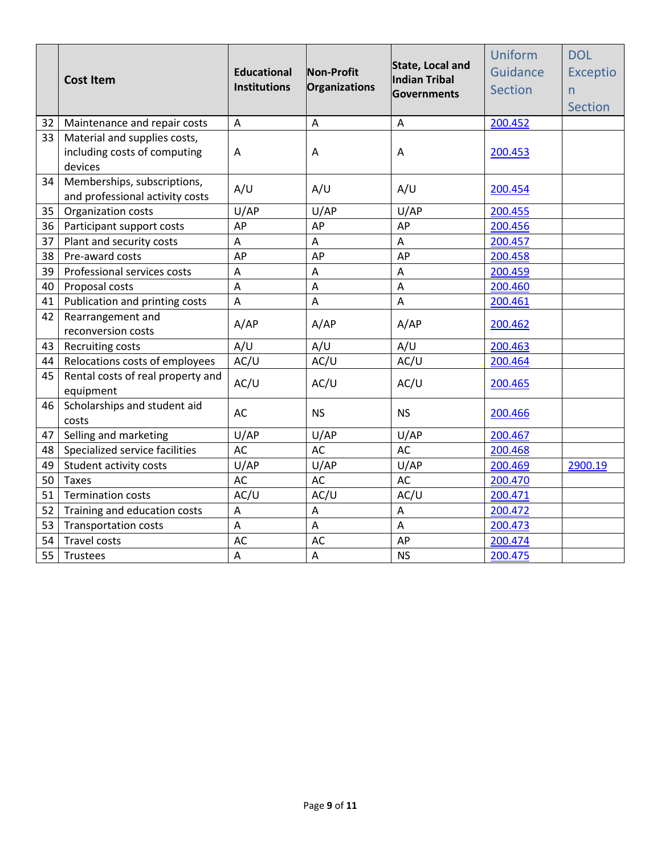|    | <b>Cost Item</b>                                                        | <b>Educational</b><br><b>Institutions</b> | Non-Profit<br>Organizations | State, Local and<br>Indian Tribal<br><b>Governments</b> | Uniform<br>Guidance<br><b>Section</b> | <b>DOL</b><br><b>Exceptio</b><br>n<br><b>Section</b> |
|----|-------------------------------------------------------------------------|-------------------------------------------|-----------------------------|---------------------------------------------------------|---------------------------------------|------------------------------------------------------|
| 32 | Maintenance and repair costs                                            | A                                         | A                           | A                                                       | 200.452                               |                                                      |
| 33 | Material and supplies costs,<br>including costs of computing<br>devices | Α                                         | A                           | A                                                       | 200.453                               |                                                      |
| 34 | Memberships, subscriptions,<br>and professional activity costs          | A/U                                       | A/U                         | A/U                                                     | 200.454                               |                                                      |
| 35 | Organization costs                                                      | U/AP                                      | U/AP                        | U/AP                                                    | 200.455                               |                                                      |
| 36 | Participant support costs                                               | AP                                        | AP                          | AP                                                      | 200.456                               |                                                      |
| 37 | Plant and security costs                                                | $\boldsymbol{\mathsf{A}}$                 | A                           | A                                                       | 200.457                               |                                                      |
| 38 | Pre-award costs                                                         | AP                                        | AP                          | AP                                                      | 200.458                               |                                                      |
| 39 | Professional services costs                                             | $\overline{A}$                            | $\overline{A}$              | A                                                       | 200.459                               |                                                      |
| 40 | Proposal costs                                                          | $\boldsymbol{\mathsf{A}}$                 | A                           | $\overline{A}$                                          | 200.460                               |                                                      |
| 41 | Publication and printing costs                                          | $\overline{A}$                            | A                           | $\overline{A}$                                          | 200.461                               |                                                      |
| 42 | Rearrangement and<br>reconversion costs                                 | A/AP                                      | A/AP                        | A/AP                                                    | 200.462                               |                                                      |
| 43 | Recruiting costs                                                        | A/U                                       | A/U                         | A/U                                                     | 200.463                               |                                                      |
| 44 | Relocations costs of employees                                          | AC/U                                      | AC/U                        | AC/U                                                    | 200.464                               |                                                      |
| 45 | Rental costs of real property and<br>equipment                          | AC/U                                      | AC/U                        | AC/U                                                    | 200.465                               |                                                      |
| 46 | Scholarships and student aid<br>costs                                   | AC                                        | <b>NS</b>                   | <b>NS</b>                                               | 200.466                               |                                                      |
| 47 | Selling and marketing                                                   | U/AP                                      | U/AP                        | U/AP                                                    | 200.467                               |                                                      |
| 48 | Specialized service facilities                                          | <b>AC</b>                                 | <b>AC</b>                   | <b>AC</b>                                               | 200.468                               |                                                      |
| 49 | Student activity costs                                                  | U/AP                                      | U/AP                        | U/AP                                                    | 200.469                               | 2900.19                                              |
| 50 | <b>Taxes</b>                                                            | <b>AC</b>                                 | AC                          | <b>AC</b>                                               | 200.470                               |                                                      |
| 51 | <b>Termination costs</b>                                                | AC/U                                      | AC/U                        | AC/U                                                    | 200.471                               |                                                      |
| 52 | Training and education costs                                            | A                                         | A                           | Α                                                       | 200.472                               |                                                      |
| 53 | <b>Transportation costs</b>                                             | A                                         | A                           | Α                                                       | 200.473                               |                                                      |
| 54 | Travel costs                                                            | AC                                        | AC                          | AP                                                      | 200.474                               |                                                      |
| 55 | Trustees                                                                | A                                         | $\overline{A}$              | <b>NS</b>                                               | 200.475                               |                                                      |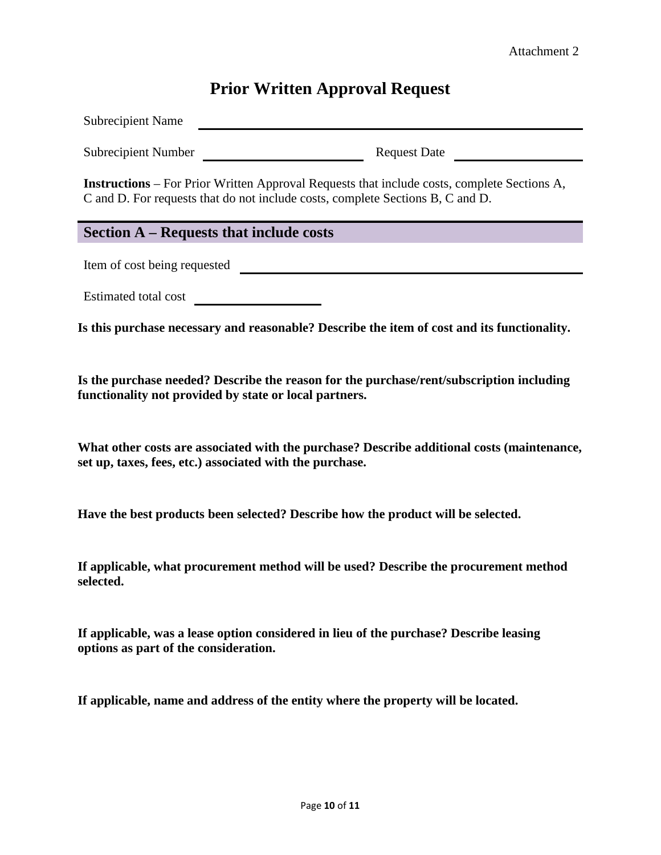# **Prior Written Approval Request**

Subrecipient Name

Subrecipient Number Request Date

**Instructions** – For Prior Written Approval Requests that include costs, complete Sections A, C and D. For requests that do not include costs, complete Sections B, C and D.

### **Section A – Requests that include costs**

Item of cost being requested quality and the cost of cost being requested

Estimated total cost

**Is this purchase necessary and reasonable? Describe the item of cost and its functionality.**

**Is the purchase needed? Describe the reason for the purchase/rent/subscription including functionality not provided by state or local partners.**

**What other costs are associated with the purchase? Describe additional costs (maintenance, set up, taxes, fees, etc.) associated with the purchase.**

**Have the best products been selected? Describe how the product will be selected.**

**If applicable, what procurement method will be used? Describe the procurement method selected.**

**If applicable, was a lease option considered in lieu of the purchase? Describe leasing options as part of the consideration.**

**If applicable, name and address of the entity where the property will be located.**